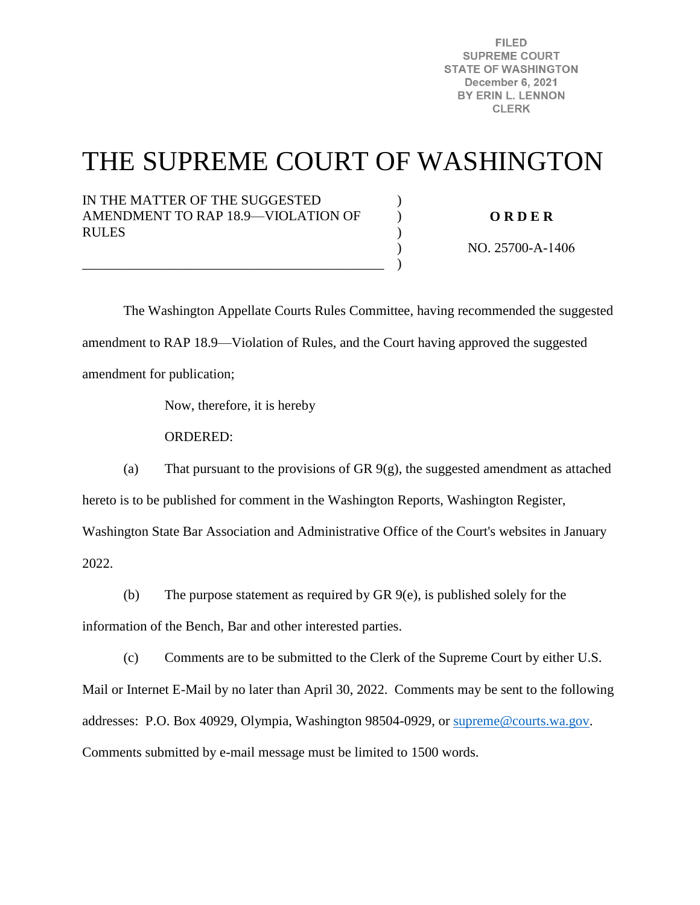**FILED SUPREME COURT STATE OF WASHINGTON** December 6, 2021 BY ERIN L. LENNON **CLERK** 

# THE SUPREME COURT OF WASHINGTON

) ) )  $\lambda$ )

IN THE MATTER OF THE SUGGESTED AMENDMENT TO RAP 18.9—VIOLATION OF RULES

\_\_\_\_\_\_\_\_\_\_\_\_\_\_\_\_\_\_\_\_\_\_\_\_\_\_\_\_\_\_\_\_\_\_\_\_\_\_\_\_\_\_\_\_

**O R D E R** 

NO. 25700-A-1406

 The Washington Appellate Courts Rules Committee, having recommended the suggested amendment to RAP 18.9—Violation of Rules, and the Court having approved the suggested amendment for publication;

Now, therefore, it is hereby

ORDERED:

(a) That pursuant to the provisions of GR 9(g), the suggested amendment as attached hereto is to be published for comment in the Washington Reports, Washington Register, Washington State Bar Association and Administrative Office of the Court's websites in January

2022.

(b) The purpose statement as required by GR 9(e), is published solely for the

information of the Bench, Bar and other interested parties.

(c) Comments are to be submitted to the Clerk of the Supreme Court by either U.S.

Mail or Internet E-Mail by no later than April 30, 2022. Comments may be sent to the following addresses: P.O. Box 40929, Olympia, Washington 98504-0929, or [supreme@courts.wa.gov.](mailto:supreme@courts.wa.gov) Comments submitted by e-mail message must be limited to 1500 words.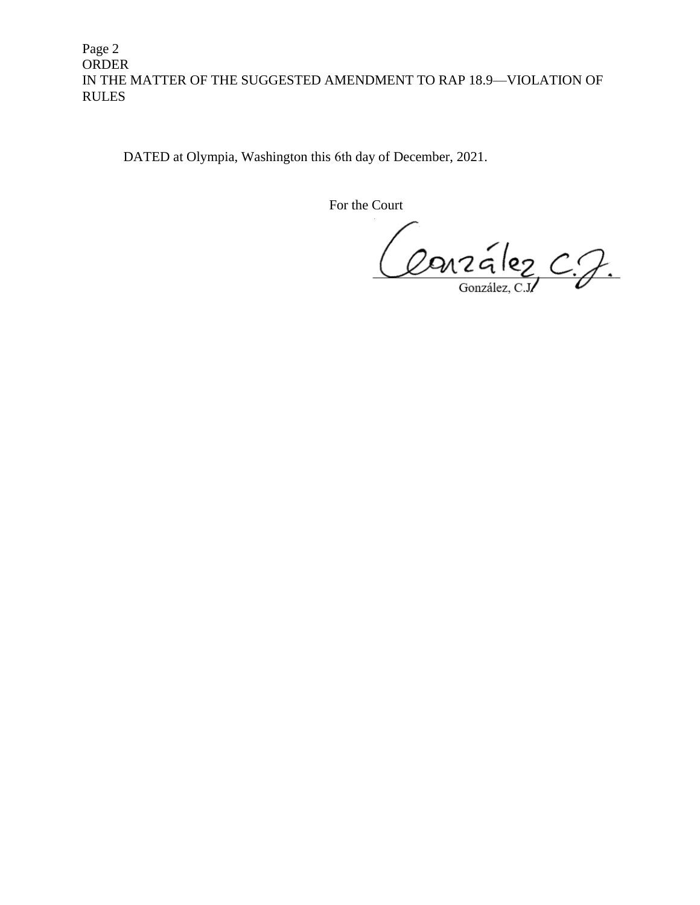Page 2 ORDER IN THE MATTER OF THE SUGGESTED AMENDMENT TO RAP 18.9—VIOLATION OF RULES

DATED at Olympia, Washington this 6th day of December, 2021.

For the Court

Conzález C.J.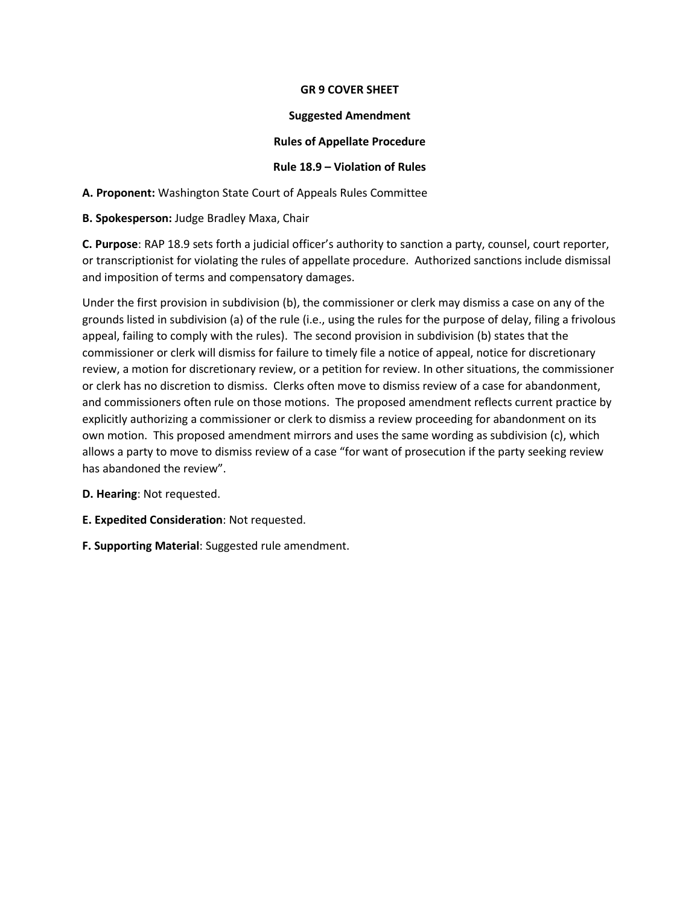## **GR 9 COVER SHEET**

#### **Suggested Amendment**

## **Rules of Appellate Procedure**

## **Rule 18.9 – Violation of Rules**

**A. Proponent:** Washington State Court of Appeals Rules Committee

**B. Spokesperson:** Judge Bradley Maxa, Chair

**C. Purpose**: RAP 18.9 sets forth a judicial officer's authority to sanction a party, counsel, court reporter, or transcriptionist for violating the rules of appellate procedure. Authorized sanctions include dismissal and imposition of terms and compensatory damages.

Under the first provision in subdivision (b), the commissioner or clerk may dismiss a case on any of the grounds listed in subdivision (a) of the rule (i.e., using the rules for the purpose of delay, filing a frivolous appeal, failing to comply with the rules). The second provision in subdivision (b) states that the commissioner or clerk will dismiss for failure to timely file a notice of appeal, notice for discretionary review, a motion for discretionary review, or a petition for review. In other situations, the commissioner or clerk has no discretion to dismiss. Clerks often move to dismiss review of a case for abandonment, and commissioners often rule on those motions. The proposed amendment reflects current practice by explicitly authorizing a commissioner or clerk to dismiss a review proceeding for abandonment on its own motion. This proposed amendment mirrors and uses the same wording as subdivision (c), which allows a party to move to dismiss review of a case "for want of prosecution if the party seeking review has abandoned the review".

**D. Hearing**: Not requested.

- **E. Expedited Consideration**: Not requested.
- **F. Supporting Material**: Suggested rule amendment.